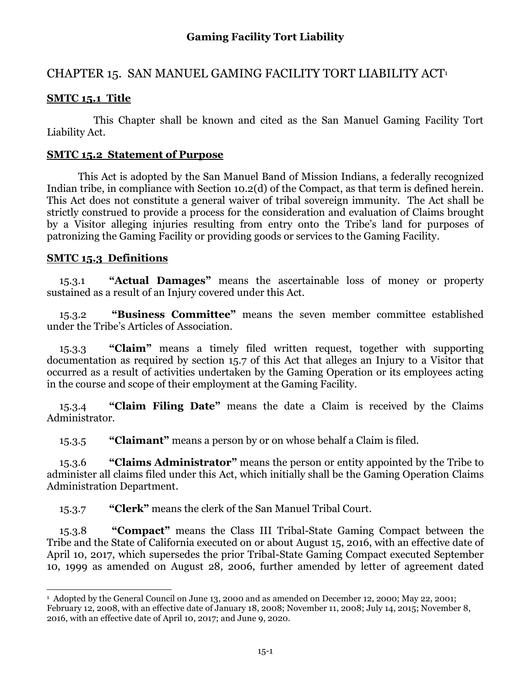# CHAPTER 15. SAN MANUEL GAMING FACILITY TORT LIABILITY ACT<sup>1</sup>

## **SMTC 15.1 Title**

This Chapter shall be known and cited as the San Manuel Gaming Facility Tort Liability Act.

### **SMTC 15.2 Statement of Purpose**

This Act is adopted by the San Manuel Band of Mission Indians, a federally recognized Indian tribe, in compliance with Section 10.2(d) of the Compact, as that term is defined herein. This Act does not constitute a general waiver of tribal sovereign immunity. The Act shall be strictly construed to provide a process for the consideration and evaluation of Claims brought by a Visitor alleging injuries resulting from entry onto the Tribe's land for purposes of patronizing the Gaming Facility or providing goods or services to the Gaming Facility.

### **SMTC 15.3 Definitions**

15.3.1 **"Actual Damages"** means the ascertainable loss of money or property sustained as a result of an Injury covered under this Act.

15.3.2 **"Business Committee"** means the seven member committee established under the Tribe's Articles of Association.

15.3.3 **"Claim"** means a timely filed written request, together with supporting documentation as required by section 15.7 of this Act that alleges an Injury to a Visitor that occurred as a result of activities undertaken by the Gaming Operation or its employees acting in the course and scope of their employment at the Gaming Facility.

15.3.4 **"Claim Filing Date"** means the date a Claim is received by the Claims Administrator.

15.3.5 **"Claimant"** means a person by or on whose behalf a Claim is filed.

15.3.6 **"Claims Administrator"** means the person or entity appointed by the Tribe to administer all claims filed under this Act, which initially shall be the Gaming Operation Claims Administration Department.

15.3.7 **"Clerk"** means the clerk of the San Manuel Tribal Court.

15.3.8 **"Compact"** means the Class III Tribal-State Gaming Compact between the Tribe and the State of California executed on or about August 15, 2016, with an effective date of April 10, 2017, which supersedes the prior Tribal-State Gaming Compact executed September 10, 1999 as amended on August 28, 2006, further amended by letter of agreement dated

 $\overline{a}$ 1 Adopted by the General Council on June 13, 2000 and as amended on December 12, 2000; May 22, 2001; February 12, 2008, with an effective date of January 18, 2008; November 11, 2008; July 14, 2015; November 8, 2016, with an effective date of April 10, 2017; and June 9, 2020.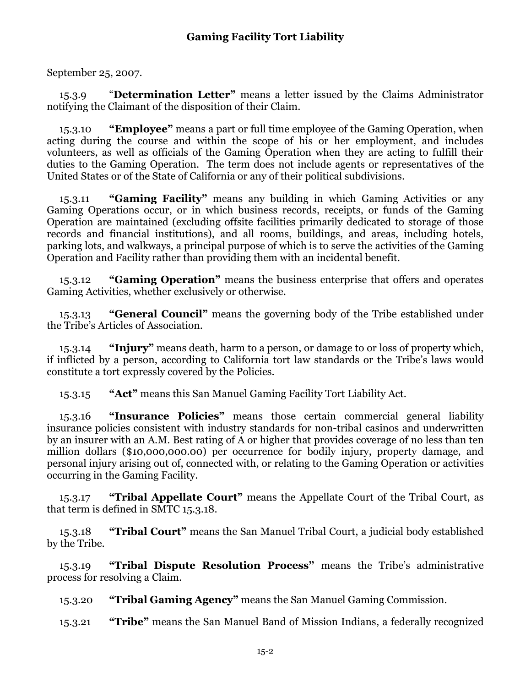September 25, 2007.

15.3.9 "**Determination Letter"** means a letter issued by the Claims Administrator notifying the Claimant of the disposition of their Claim.

15.3.10 **"Employee"** means a part or full time employee of the Gaming Operation, when acting during the course and within the scope of his or her employment, and includes volunteers, as well as officials of the Gaming Operation when they are acting to fulfill their duties to the Gaming Operation. The term does not include agents or representatives of the United States or of the State of California or any of their political subdivisions.

15.3.11 **"Gaming Facility"** means any building in which Gaming Activities or any Gaming Operations occur, or in which business records, receipts, or funds of the Gaming Operation are maintained (excluding offsite facilities primarily dedicated to storage of those records and financial institutions), and all rooms, buildings, and areas, including hotels, parking lots, and walkways, a principal purpose of which is to serve the activities of the Gaming Operation and Facility rather than providing them with an incidental benefit.

15.3.12 **"Gaming Operation"** means the business enterprise that offers and operates Gaming Activities, whether exclusively or otherwise.

15.3.13 **"General Council"** means the governing body of the Tribe established under the Tribe's Articles of Association.

15.3.14 **"Injury"** means death, harm to a person, or damage to or loss of property which, if inflicted by a person, according to California tort law standards or the Tribe's laws would constitute a tort expressly covered by the Policies.

15.3.15 **"Act"** means this San Manuel Gaming Facility Tort Liability Act.

15.3.16 **"Insurance Policies"** means those certain commercial general liability insurance policies consistent with industry standards for non-tribal casinos and underwritten by an insurer with an A.M. Best rating of A or higher that provides coverage of no less than ten million dollars (\$10,000,000.00) per occurrence for bodily injury, property damage, and personal injury arising out of, connected with, or relating to the Gaming Operation or activities occurring in the Gaming Facility.

15.3.17 **"Tribal Appellate Court"** means the Appellate Court of the Tribal Court, as that term is defined in SMTC 15.3.18.

15.3.18 **"Tribal Court"** means the San Manuel Tribal Court, a judicial body established by the Tribe.

15.3.19 **"Tribal Dispute Resolution Process"** means the Tribe's administrative process for resolving a Claim.

15.3.20 **"Tribal Gaming Agency"** means the San Manuel Gaming Commission.

15.3.21 **"Tribe"** means the San Manuel Band of Mission Indians, a federally recognized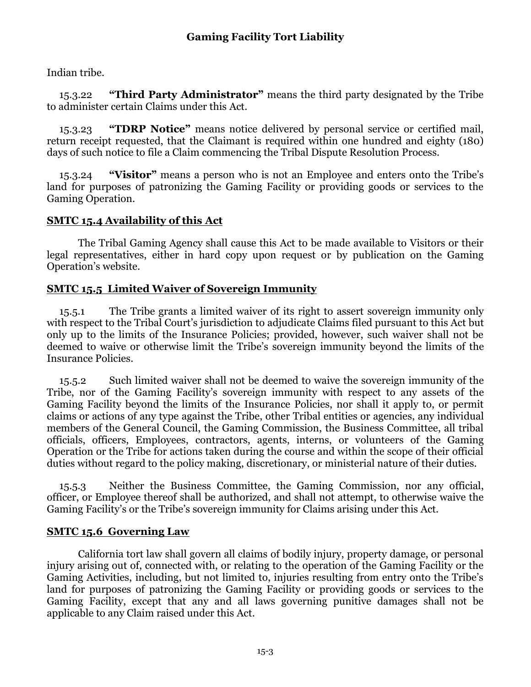Indian tribe.

15.3.22 **"Third Party Administrator"** means the third party designated by the Tribe to administer certain Claims under this Act.

15.3.23 **"TDRP Notice"** means notice delivered by personal service or certified mail, return receipt requested, that the Claimant is required within one hundred and eighty (180) days of such notice to file a Claim commencing the Tribal Dispute Resolution Process.

15.3.24 **"Visitor"** means a person who is not an Employee and enters onto the Tribe's land for purposes of patronizing the Gaming Facility or providing goods or services to the Gaming Operation.

### **SMTC 15.4 Availability of this Act**

The Tribal Gaming Agency shall cause this Act to be made available to Visitors or their legal representatives, either in hard copy upon request or by publication on the Gaming Operation's website.

### **SMTC 15.5 Limited Waiver of Sovereign Immunity**

15.5.1 The Tribe grants a limited waiver of its right to assert sovereign immunity only with respect to the Tribal Court's jurisdiction to adjudicate Claims filed pursuant to this Act but only up to the limits of the Insurance Policies; provided, however, such waiver shall not be deemed to waive or otherwise limit the Tribe's sovereign immunity beyond the limits of the Insurance Policies.

15.5.2 Such limited waiver shall not be deemed to waive the sovereign immunity of the Tribe, nor of the Gaming Facility's sovereign immunity with respect to any assets of the Gaming Facility beyond the limits of the Insurance Policies, nor shall it apply to, or permit claims or actions of any type against the Tribe, other Tribal entities or agencies, any individual members of the General Council, the Gaming Commission, the Business Committee, all tribal officials, officers, Employees, contractors, agents, interns, or volunteers of the Gaming Operation or the Tribe for actions taken during the course and within the scope of their official duties without regard to the policy making, discretionary, or ministerial nature of their duties.

15.5.3 Neither the Business Committee, the Gaming Commission, nor any official, officer, or Employee thereof shall be authorized, and shall not attempt, to otherwise waive the Gaming Facility's or the Tribe's sovereign immunity for Claims arising under this Act.

### **SMTC 15.6 Governing Law**

California tort law shall govern all claims of bodily injury, property damage, or personal injury arising out of, connected with, or relating to the operation of the Gaming Facility or the Gaming Activities, including, but not limited to, injuries resulting from entry onto the Tribe's land for purposes of patronizing the Gaming Facility or providing goods or services to the Gaming Facility, except that any and all laws governing punitive damages shall not be applicable to any Claim raised under this Act.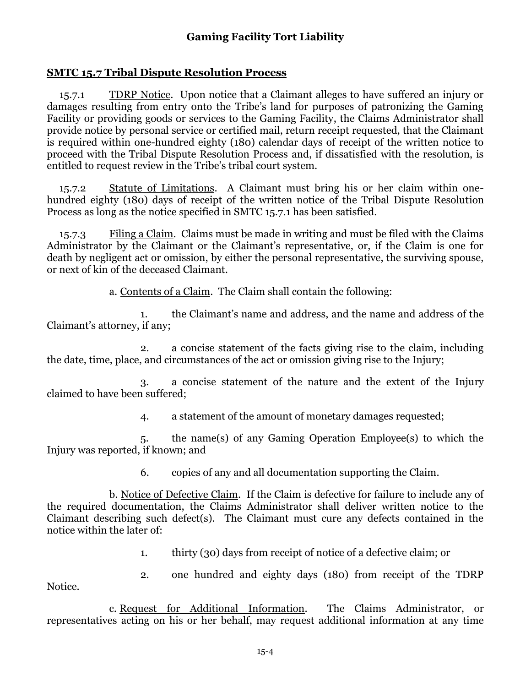#### **SMTC 15.7 Tribal Dispute Resolution Process**

15.7.1 TDRP Notice. Upon notice that a Claimant alleges to have suffered an injury or damages resulting from entry onto the Tribe's land for purposes of patronizing the Gaming Facility or providing goods or services to the Gaming Facility, the Claims Administrator shall provide notice by personal service or certified mail, return receipt requested, that the Claimant is required within one-hundred eighty (180) calendar days of receipt of the written notice to proceed with the Tribal Dispute Resolution Process and, if dissatisfied with the resolution, is entitled to request review in the Tribe's tribal court system.

15.7.2 Statute of Limitations. A Claimant must bring his or her claim within onehundred eighty (180) days of receipt of the written notice of the Tribal Dispute Resolution Process as long as the notice specified in SMTC 15.7.1 has been satisfied.

15.7.3 Filing a Claim. Claims must be made in writing and must be filed with the Claims Administrator by the Claimant or the Claimant's representative, or, if the Claim is one for death by negligent act or omission, by either the personal representative, the surviving spouse, or next of kin of the deceased Claimant.

a. Contents of a Claim. The Claim shall contain the following:

1. the Claimant's name and address, and the name and address of the Claimant's attorney, if any;

2. a concise statement of the facts giving rise to the claim, including the date, time, place, and circumstances of the act or omission giving rise to the Injury;

3. a concise statement of the nature and the extent of the Injury claimed to have been suffered;

4. a statement of the amount of monetary damages requested;

5. the name(s) of any Gaming Operation Employee(s) to which the Injury was reported, if known; and

6. copies of any and all documentation supporting the Claim.

b. Notice of Defective Claim. If the Claim is defective for failure to include any of the required documentation, the Claims Administrator shall deliver written notice to the Claimant describing such defect(s). The Claimant must cure any defects contained in the notice within the later of:

1. thirty (30) days from receipt of notice of a defective claim; or

Notice.

2. one hundred and eighty days (180) from receipt of the TDRP

c. Request for Additional Information. The Claims Administrator, or representatives acting on his or her behalf, may request additional information at any time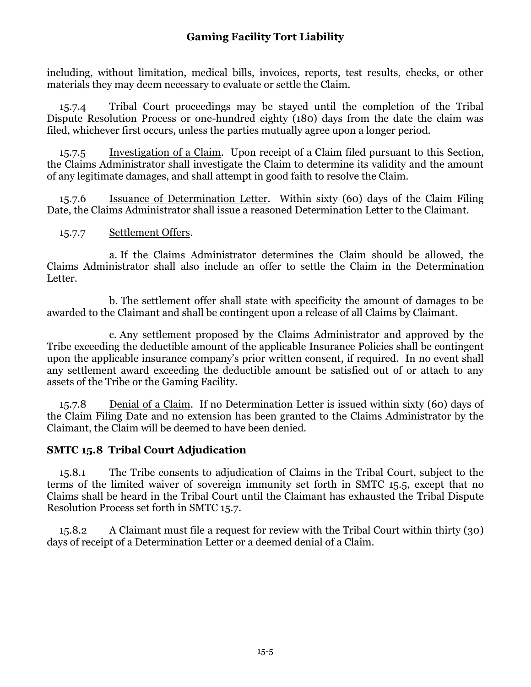including, without limitation, medical bills, invoices, reports, test results, checks, or other materials they may deem necessary to evaluate or settle the Claim.

15.7.4 Tribal Court proceedings may be stayed until the completion of the Tribal Dispute Resolution Process or one-hundred eighty (180) days from the date the claim was filed, whichever first occurs, unless the parties mutually agree upon a longer period.

15.7.5 Investigation of a Claim. Upon receipt of a Claim filed pursuant to this Section, the Claims Administrator shall investigate the Claim to determine its validity and the amount of any legitimate damages, and shall attempt in good faith to resolve the Claim.

15.7.6 Issuance of Determination Letter. Within sixty (60) days of the Claim Filing Date, the Claims Administrator shall issue a reasoned Determination Letter to the Claimant.

#### 15.7.7 Settlement Offers.

a. If the Claims Administrator determines the Claim should be allowed, the Claims Administrator shall also include an offer to settle the Claim in the Determination Letter.

b. The settlement offer shall state with specificity the amount of damages to be awarded to the Claimant and shall be contingent upon a release of all Claims by Claimant.

c. Any settlement proposed by the Claims Administrator and approved by the Tribe exceeding the deductible amount of the applicable Insurance Policies shall be contingent upon the applicable insurance company's prior written consent, if required. In no event shall any settlement award exceeding the deductible amount be satisfied out of or attach to any assets of the Tribe or the Gaming Facility.

15.7.8 Denial of a Claim. If no Determination Letter is issued within sixty (60) days of the Claim Filing Date and no extension has been granted to the Claims Administrator by the Claimant, the Claim will be deemed to have been denied.

### **SMTC 15.8 Tribal Court Adjudication**

15.8.1 The Tribe consents to adjudication of Claims in the Tribal Court, subject to the terms of the limited waiver of sovereign immunity set forth in SMTC 15.5, except that no Claims shall be heard in the Tribal Court until the Claimant has exhausted the Tribal Dispute Resolution Process set forth in SMTC 15.7.

15.8.2 A Claimant must file a request for review with the Tribal Court within thirty (30) days of receipt of a Determination Letter or a deemed denial of a Claim.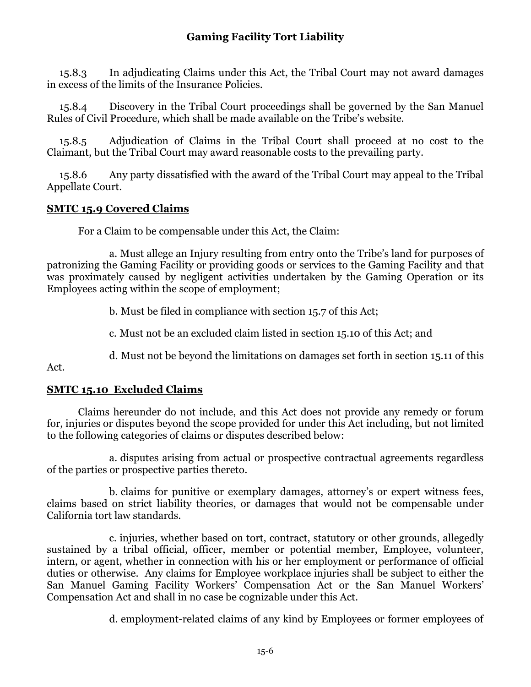15.8.3 In adjudicating Claims under this Act, the Tribal Court may not award damages in excess of the limits of the Insurance Policies.

15.8.4 Discovery in the Tribal Court proceedings shall be governed by the San Manuel Rules of Civil Procedure, which shall be made available on the Tribe's website.

15.8.5 Adjudication of Claims in the Tribal Court shall proceed at no cost to the Claimant, but the Tribal Court may award reasonable costs to the prevailing party.

15.8.6 Any party dissatisfied with the award of the Tribal Court may appeal to the Tribal Appellate Court.

### **SMTC 15.9 Covered Claims**

For a Claim to be compensable under this Act, the Claim:

a. Must allege an Injury resulting from entry onto the Tribe's land for purposes of patronizing the Gaming Facility or providing goods or services to the Gaming Facility and that was proximately caused by negligent activities undertaken by the Gaming Operation or its Employees acting within the scope of employment;

b. Must be filed in compliance with section 15.7 of this Act;

c. Must not be an excluded claim listed in section 15.10 of this Act; and

d. Must not be beyond the limitations on damages set forth in section 15.11 of this

Act.

### **SMTC 15.10 Excluded Claims**

Claims hereunder do not include, and this Act does not provide any remedy or forum for, injuries or disputes beyond the scope provided for under this Act including, but not limited to the following categories of claims or disputes described below:

a. disputes arising from actual or prospective contractual agreements regardless of the parties or prospective parties thereto.

b. claims for punitive or exemplary damages, attorney's or expert witness fees, claims based on strict liability theories, or damages that would not be compensable under California tort law standards.

c. injuries, whether based on tort, contract, statutory or other grounds, allegedly sustained by a tribal official, officer, member or potential member, Employee, volunteer, intern, or agent, whether in connection with his or her employment or performance of official duties or otherwise. Any claims for Employee workplace injuries shall be subject to either the San Manuel Gaming Facility Workers' Compensation Act or the San Manuel Workers' Compensation Act and shall in no case be cognizable under this Act.

d. employment-related claims of any kind by Employees or former employees of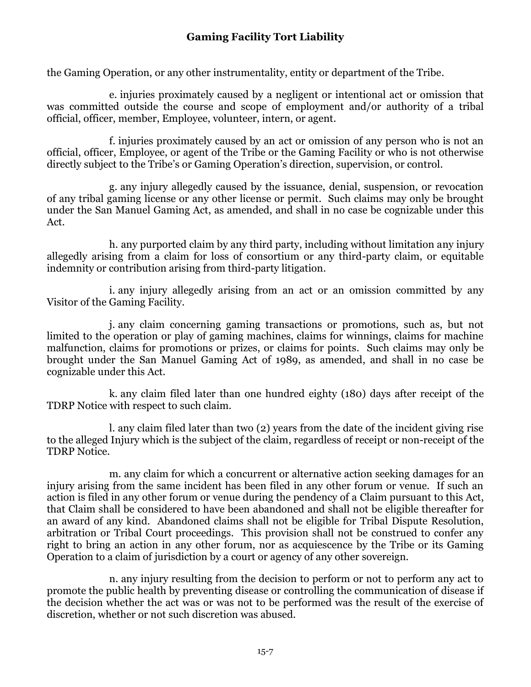the Gaming Operation, or any other instrumentality, entity or department of the Tribe.

e. injuries proximately caused by a negligent or intentional act or omission that was committed outside the course and scope of employment and/or authority of a tribal official, officer, member, Employee, volunteer, intern, or agent.

f. injuries proximately caused by an act or omission of any person who is not an official, officer, Employee, or agent of the Tribe or the Gaming Facility or who is not otherwise directly subject to the Tribe's or Gaming Operation's direction, supervision, or control.

g. any injury allegedly caused by the issuance, denial, suspension, or revocation of any tribal gaming license or any other license or permit. Such claims may only be brought under the San Manuel Gaming Act, as amended, and shall in no case be cognizable under this Act.

h. any purported claim by any third party, including without limitation any injury allegedly arising from a claim for loss of consortium or any third-party claim, or equitable indemnity or contribution arising from third-party litigation.

i. any injury allegedly arising from an act or an omission committed by any Visitor of the Gaming Facility.

j. any claim concerning gaming transactions or promotions, such as, but not limited to the operation or play of gaming machines, claims for winnings, claims for machine malfunction, claims for promotions or prizes, or claims for points. Such claims may only be brought under the San Manuel Gaming Act of 1989, as amended, and shall in no case be cognizable under this Act.

k. any claim filed later than one hundred eighty (180) days after receipt of the TDRP Notice with respect to such claim.

l. any claim filed later than two (2) years from the date of the incident giving rise to the alleged Injury which is the subject of the claim, regardless of receipt or non-receipt of the TDRP Notice.

m. any claim for which a concurrent or alternative action seeking damages for an injury arising from the same incident has been filed in any other forum or venue. If such an action is filed in any other forum or venue during the pendency of a Claim pursuant to this Act, that Claim shall be considered to have been abandoned and shall not be eligible thereafter for an award of any kind. Abandoned claims shall not be eligible for Tribal Dispute Resolution, arbitration or Tribal Court proceedings. This provision shall not be construed to confer any right to bring an action in any other forum, nor as acquiescence by the Tribe or its Gaming Operation to a claim of jurisdiction by a court or agency of any other sovereign.

n. any injury resulting from the decision to perform or not to perform any act to promote the public health by preventing disease or controlling the communication of disease if the decision whether the act was or was not to be performed was the result of the exercise of discretion, whether or not such discretion was abused.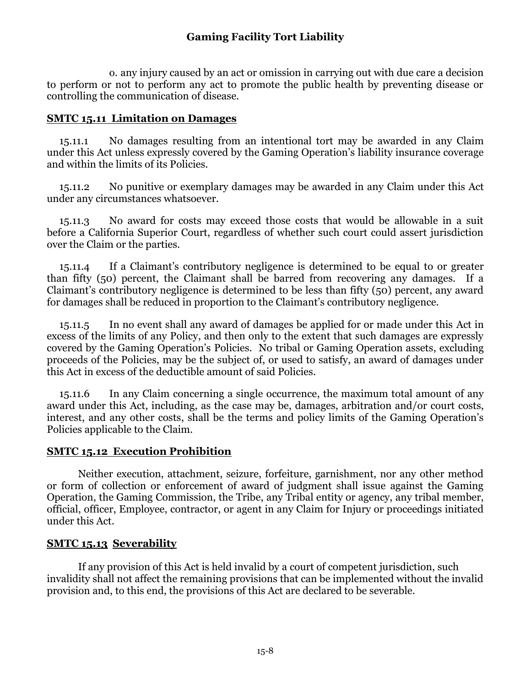o. any injury caused by an act or omission in carrying out with due care a decision to perform or not to perform any act to promote the public health by preventing disease or controlling the communication of disease.

#### **SMTC 15.11 Limitation on Damages**

15.11.1 No damages resulting from an intentional tort may be awarded in any Claim under this Act unless expressly covered by the Gaming Operation's liability insurance coverage and within the limits of its Policies.

15.11.2 No punitive or exemplary damages may be awarded in any Claim under this Act under any circumstances whatsoever.

15.11.3 No award for costs may exceed those costs that would be allowable in a suit before a California Superior Court, regardless of whether such court could assert jurisdiction over the Claim or the parties.

15.11.4 If a Claimant's contributory negligence is determined to be equal to or greater than fifty (50) percent, the Claimant shall be barred from recovering any damages. If a Claimant's contributory negligence is determined to be less than fifty (50) percent, any award for damages shall be reduced in proportion to the Claimant's contributory negligence.

15.11.5 In no event shall any award of damages be applied for or made under this Act in excess of the limits of any Policy, and then only to the extent that such damages are expressly covered by the Gaming Operation's Policies. No tribal or Gaming Operation assets, excluding proceeds of the Policies, may be the subject of, or used to satisfy, an award of damages under this Act in excess of the deductible amount of said Policies.

15.11.6 In any Claim concerning a single occurrence, the maximum total amount of any award under this Act, including, as the case may be, damages, arbitration and/or court costs, interest, and any other costs, shall be the terms and policy limits of the Gaming Operation's Policies applicable to the Claim.

### **SMTC 15.12 Execution Prohibition**

Neither execution, attachment, seizure, forfeiture, garnishment, nor any other method or form of collection or enforcement of award of judgment shall issue against the Gaming Operation, the Gaming Commission, the Tribe, any Tribal entity or agency, any tribal member, official, officer, Employee, contractor, or agent in any Claim for Injury or proceedings initiated under this Act.

### **SMTC 15.13 Severability**

If any provision of this Act is held invalid by a court of competent jurisdiction, such invalidity shall not affect the remaining provisions that can be implemented without the invalid provision and, to this end, the provisions of this Act are declared to be severable.